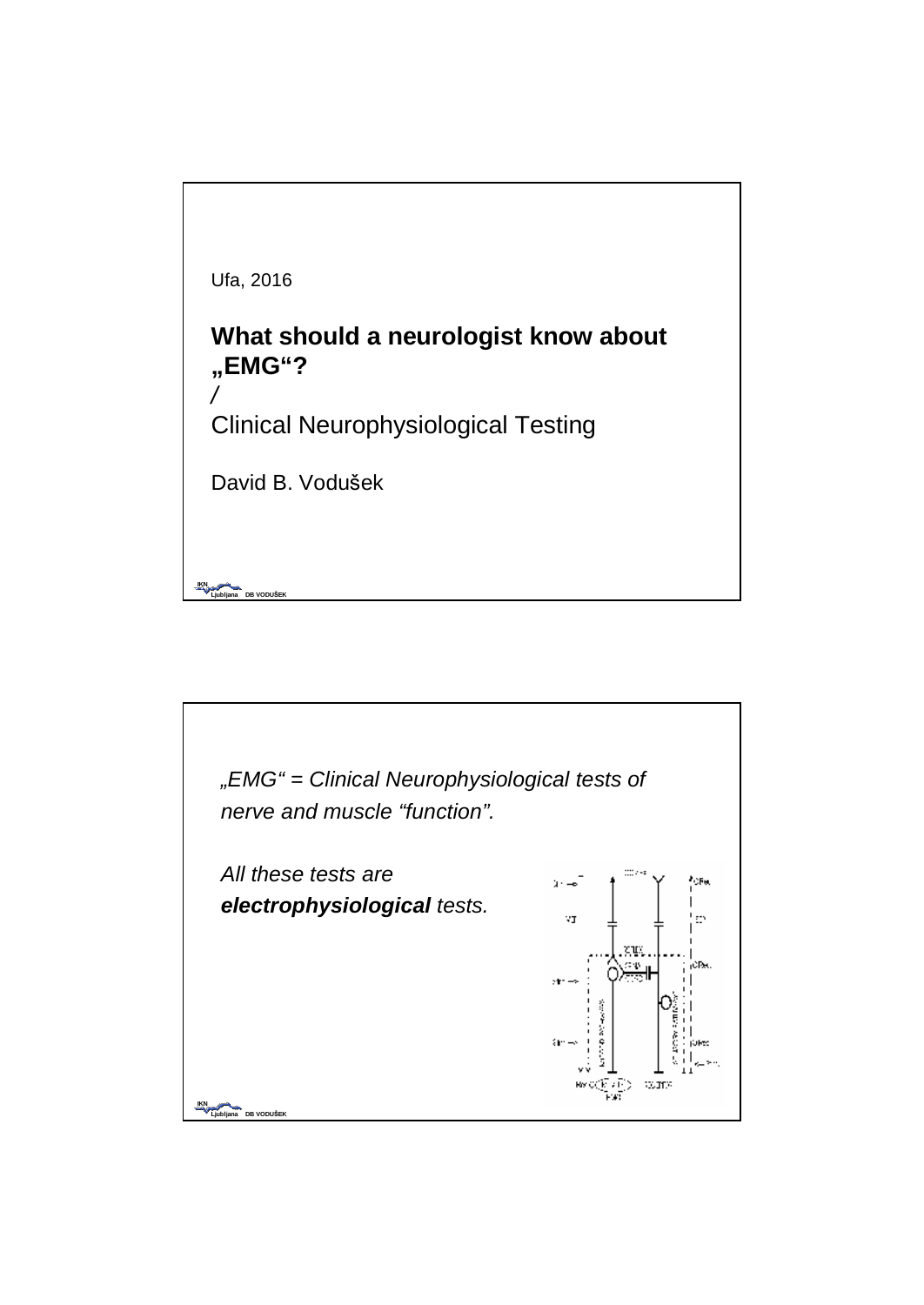

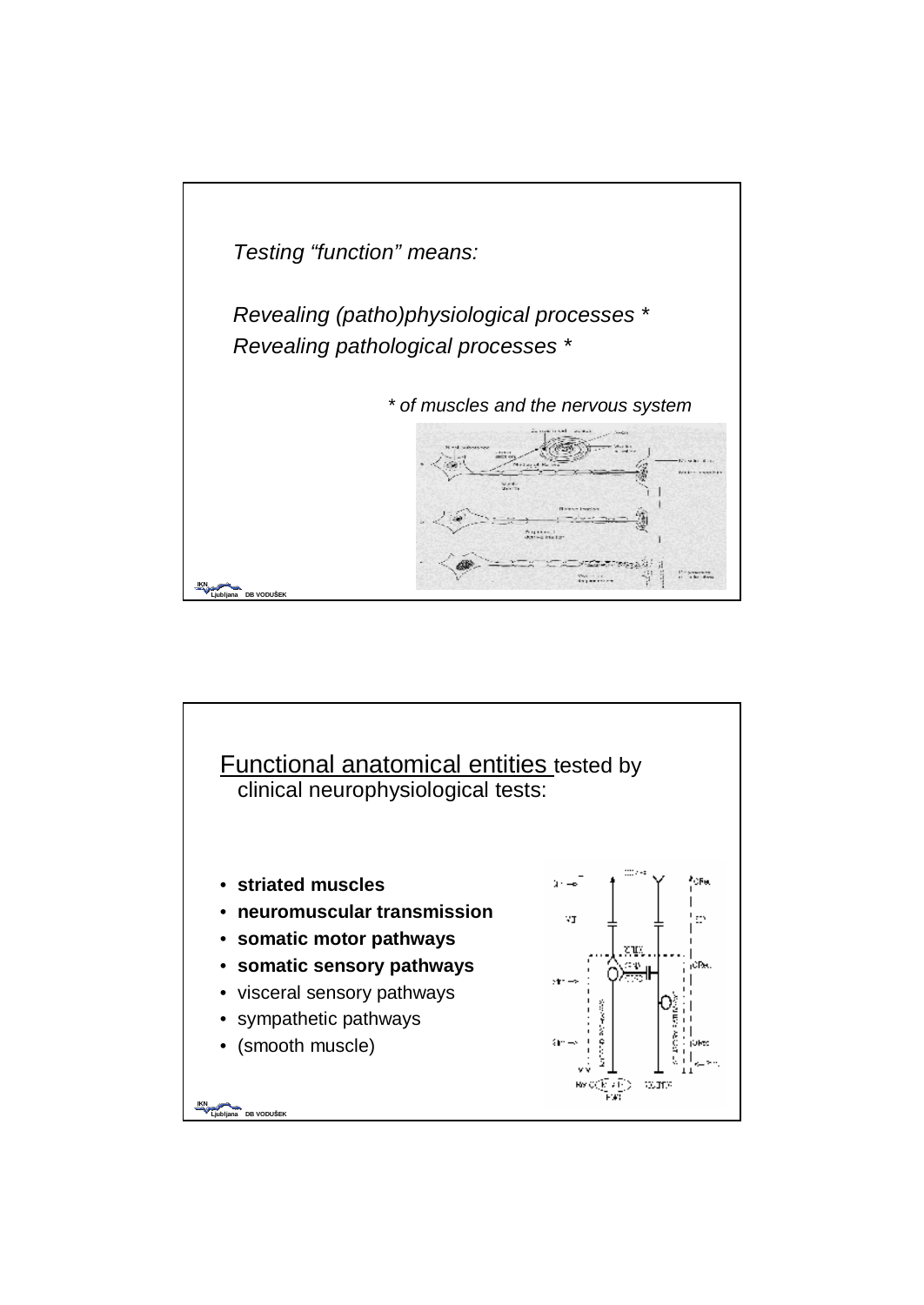

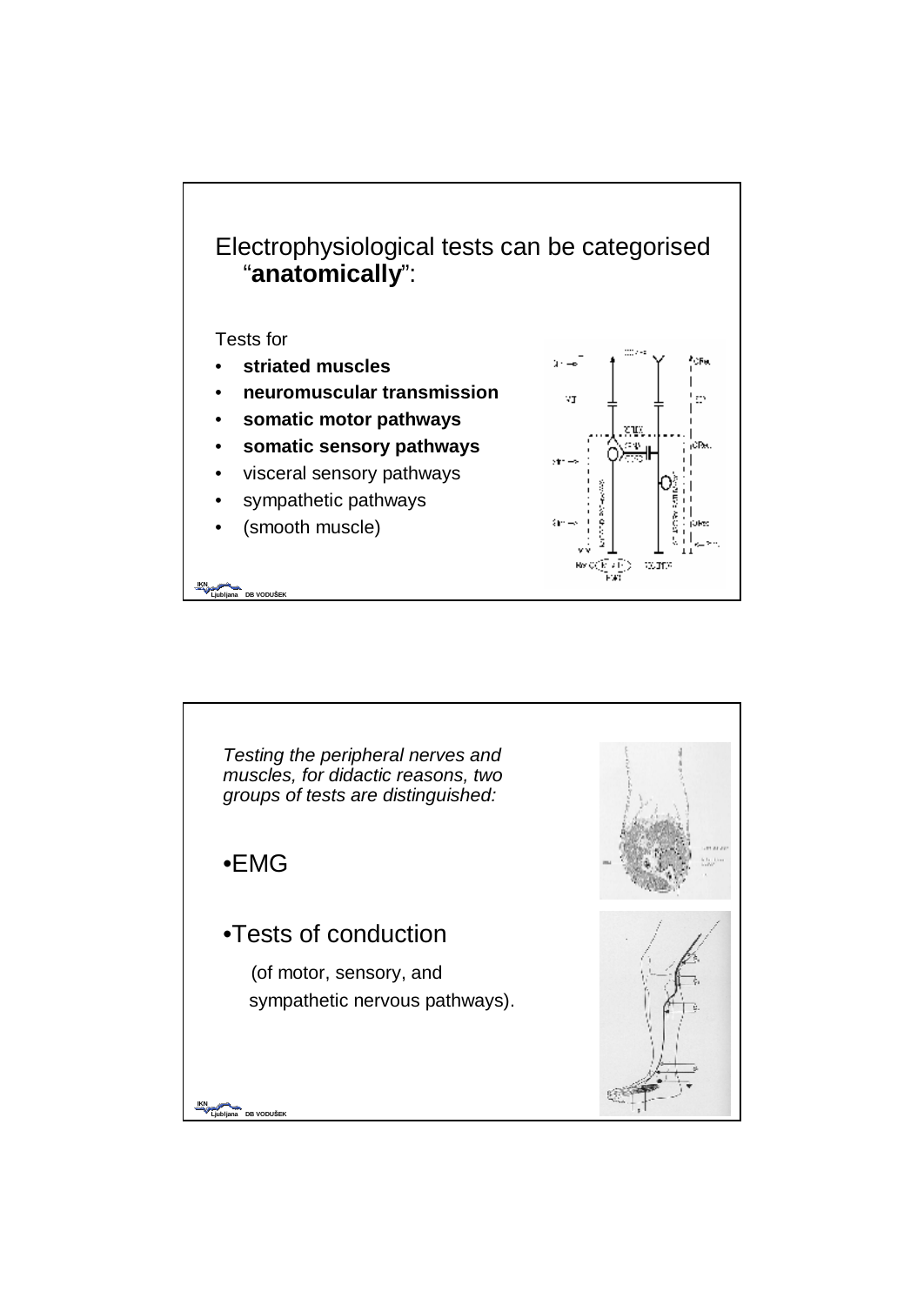

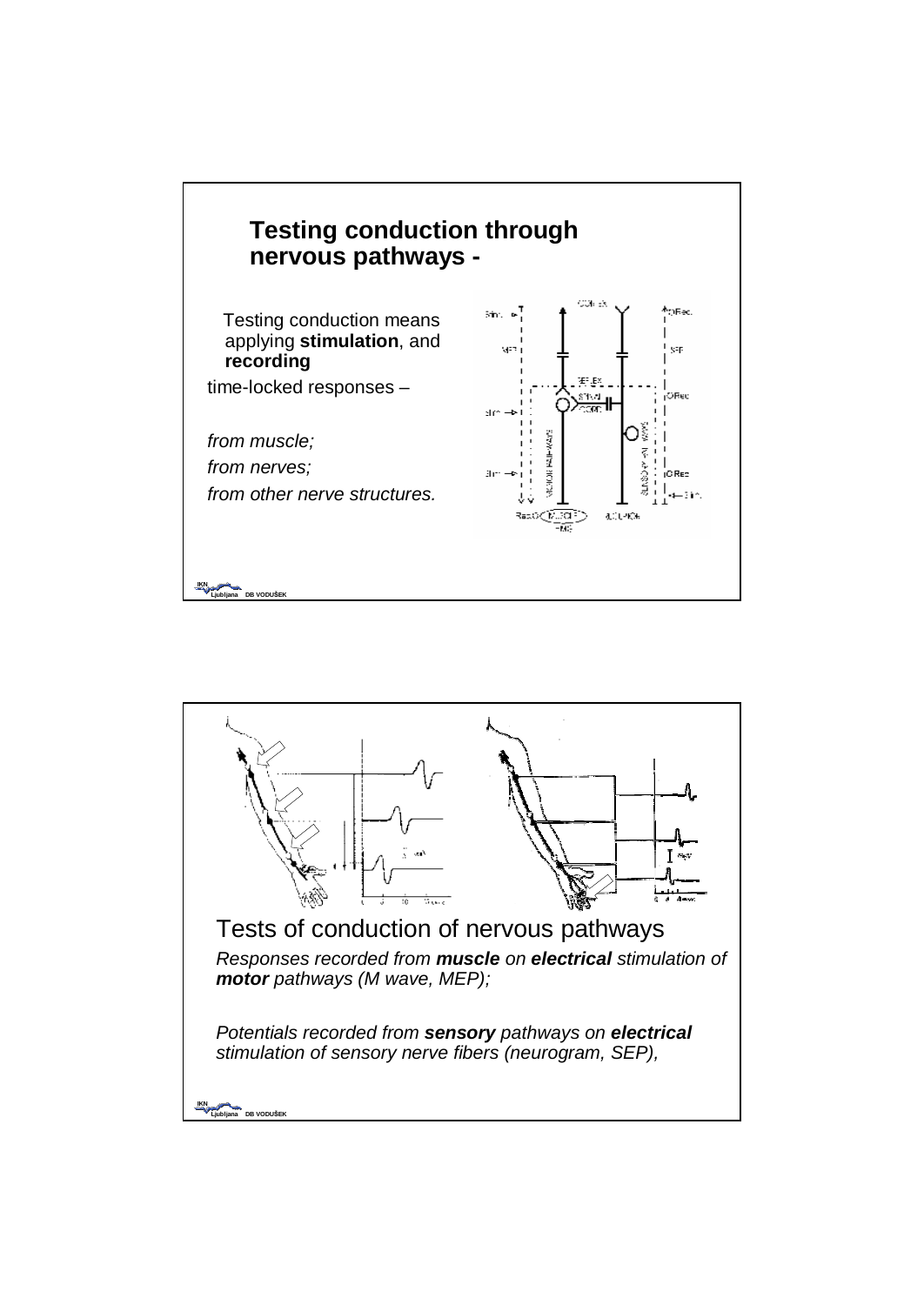

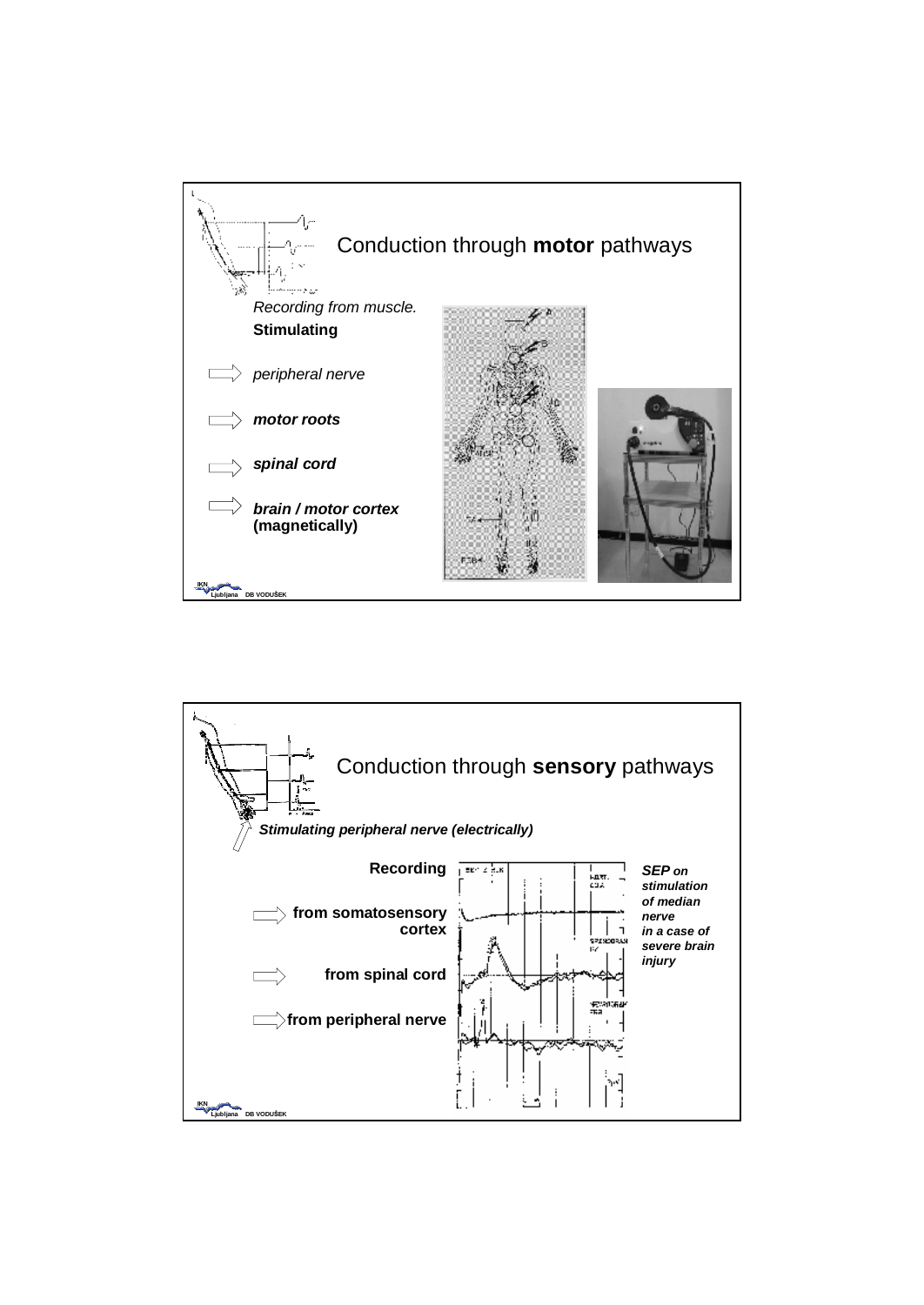

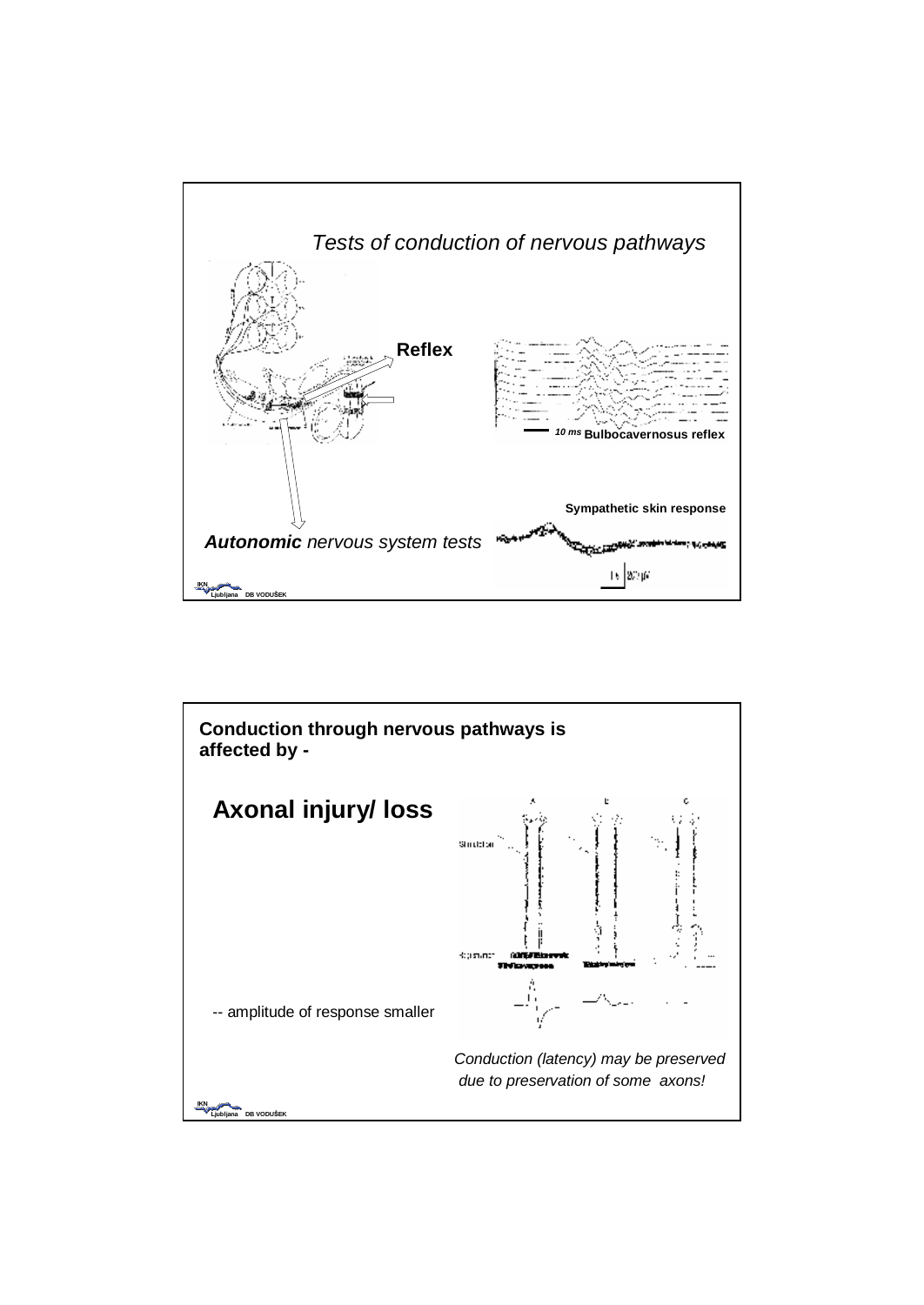

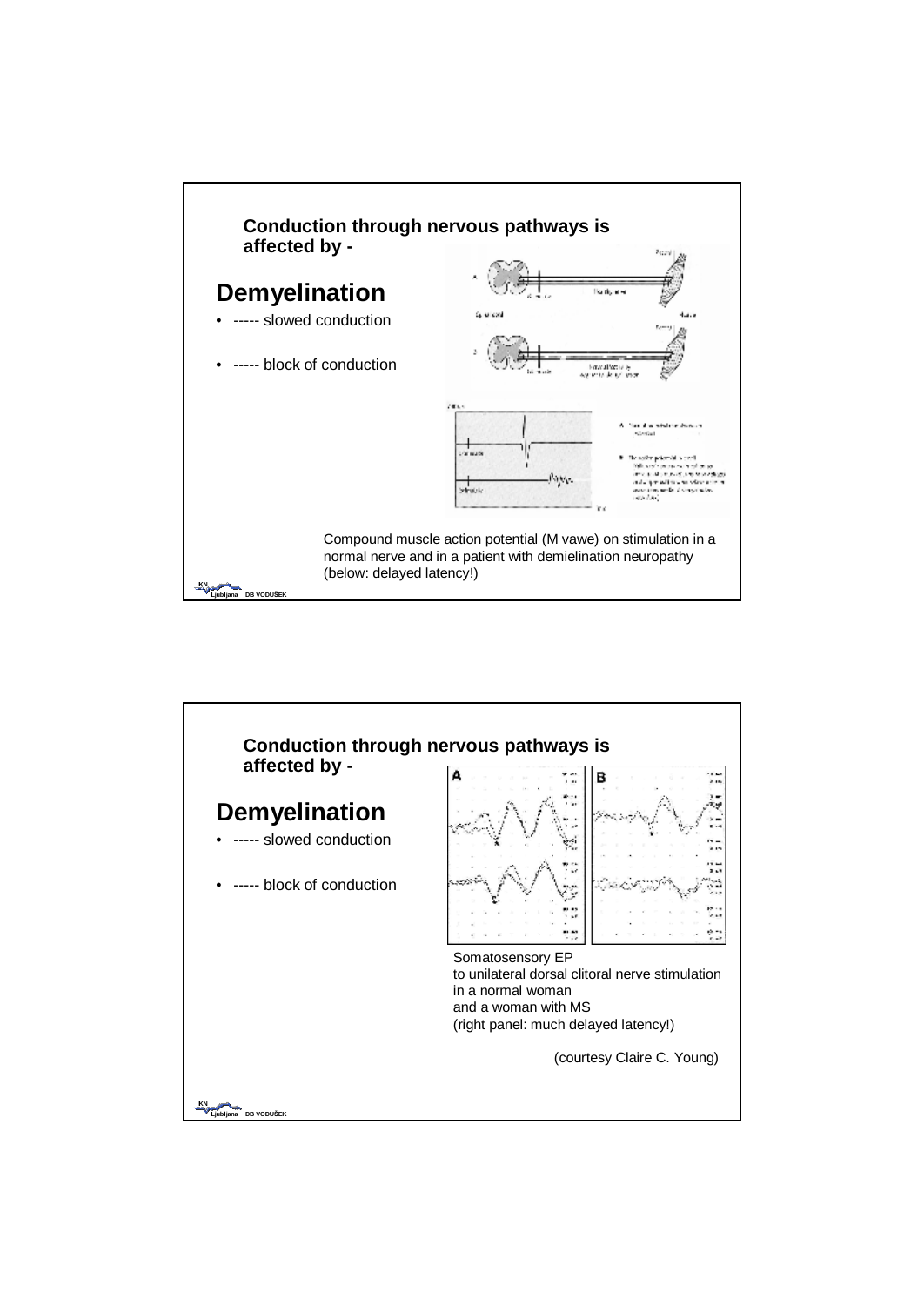

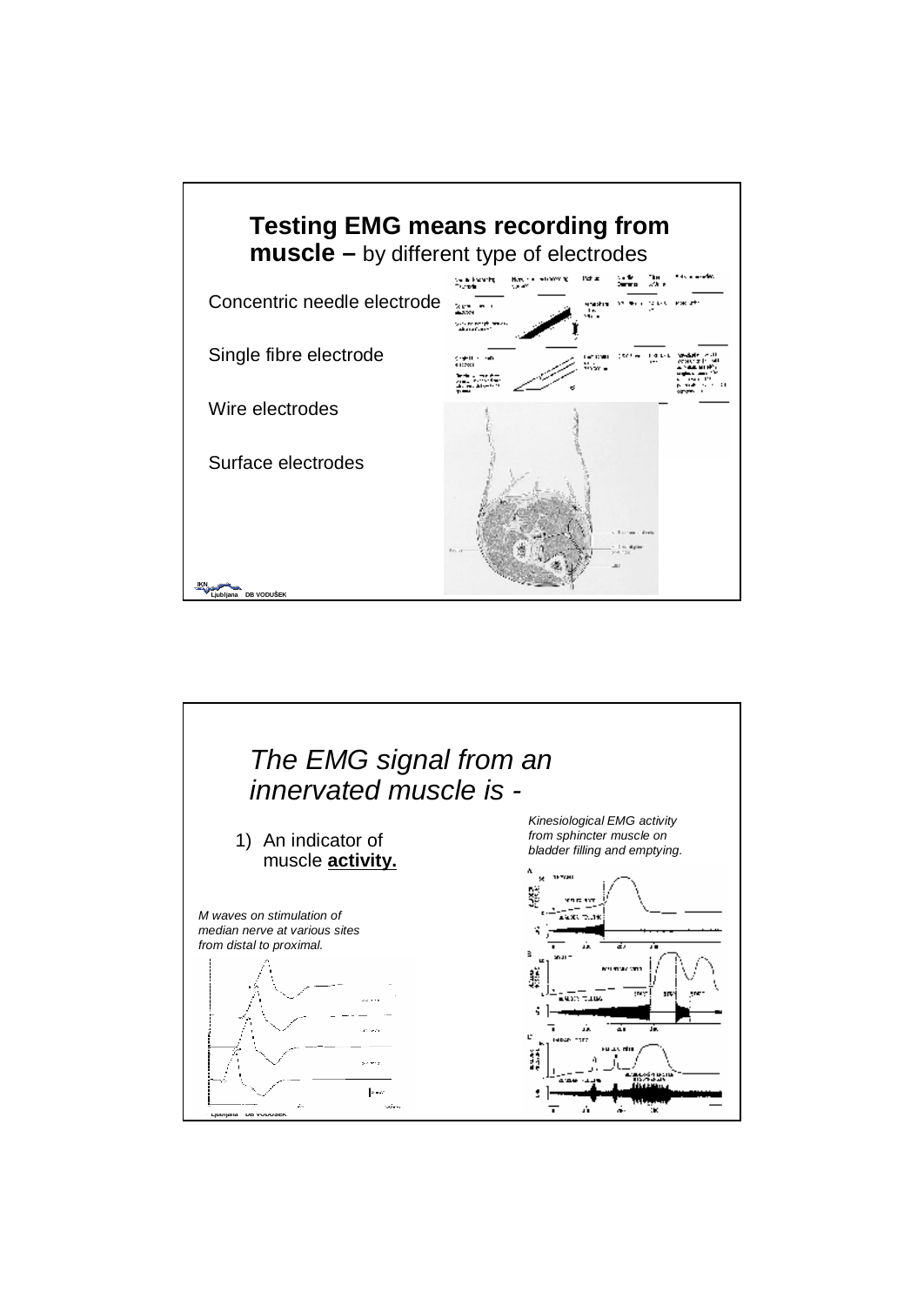

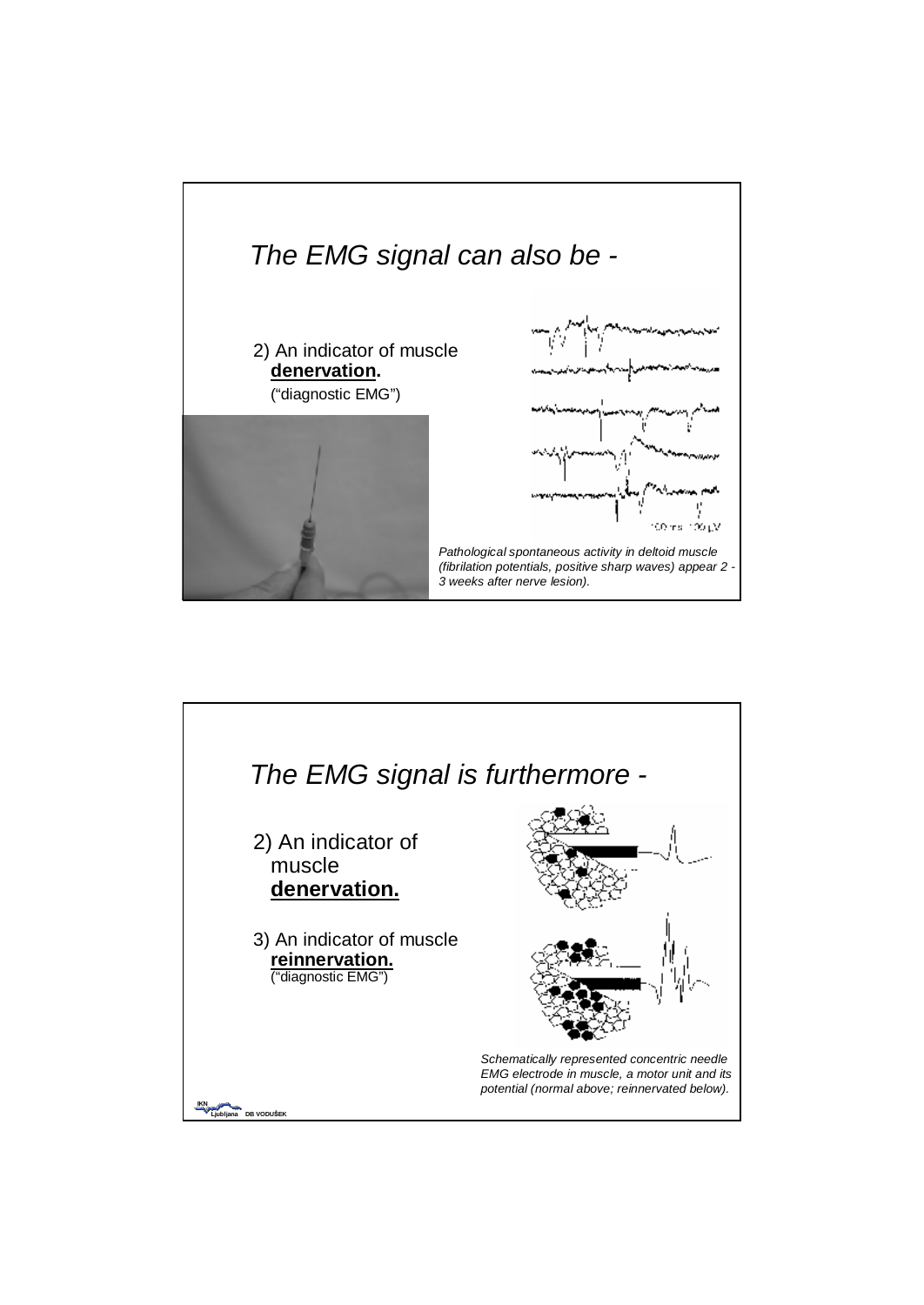

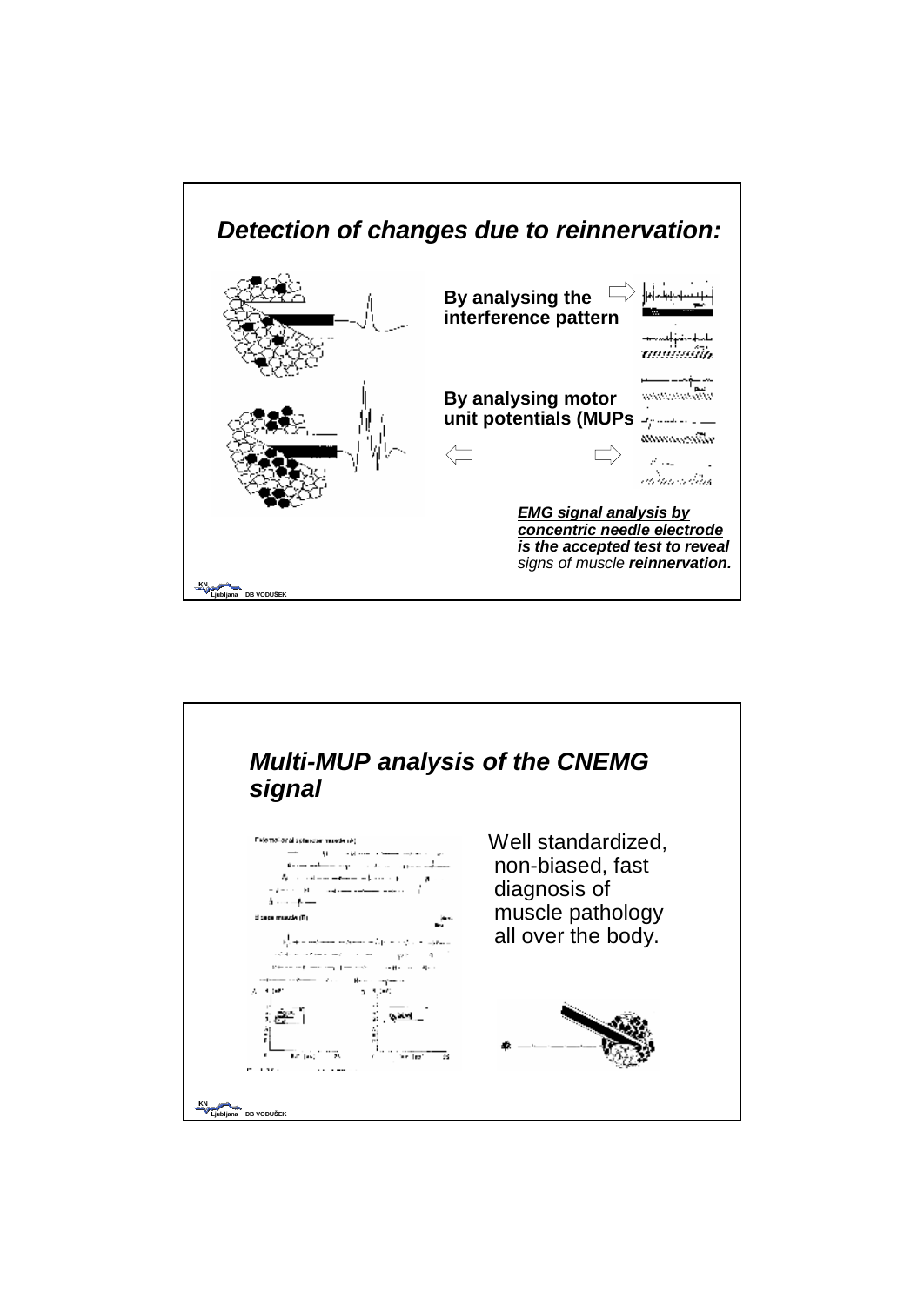

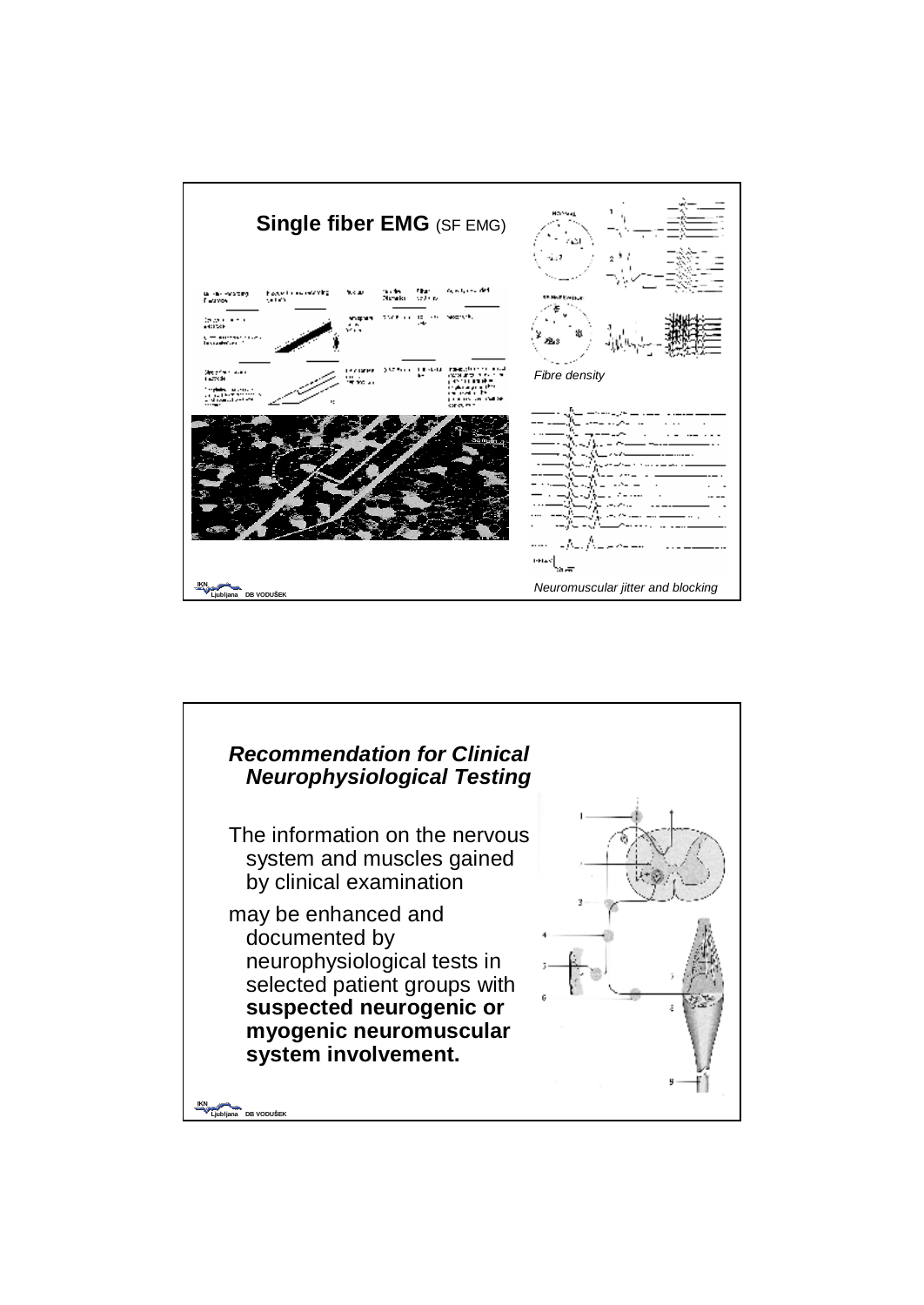

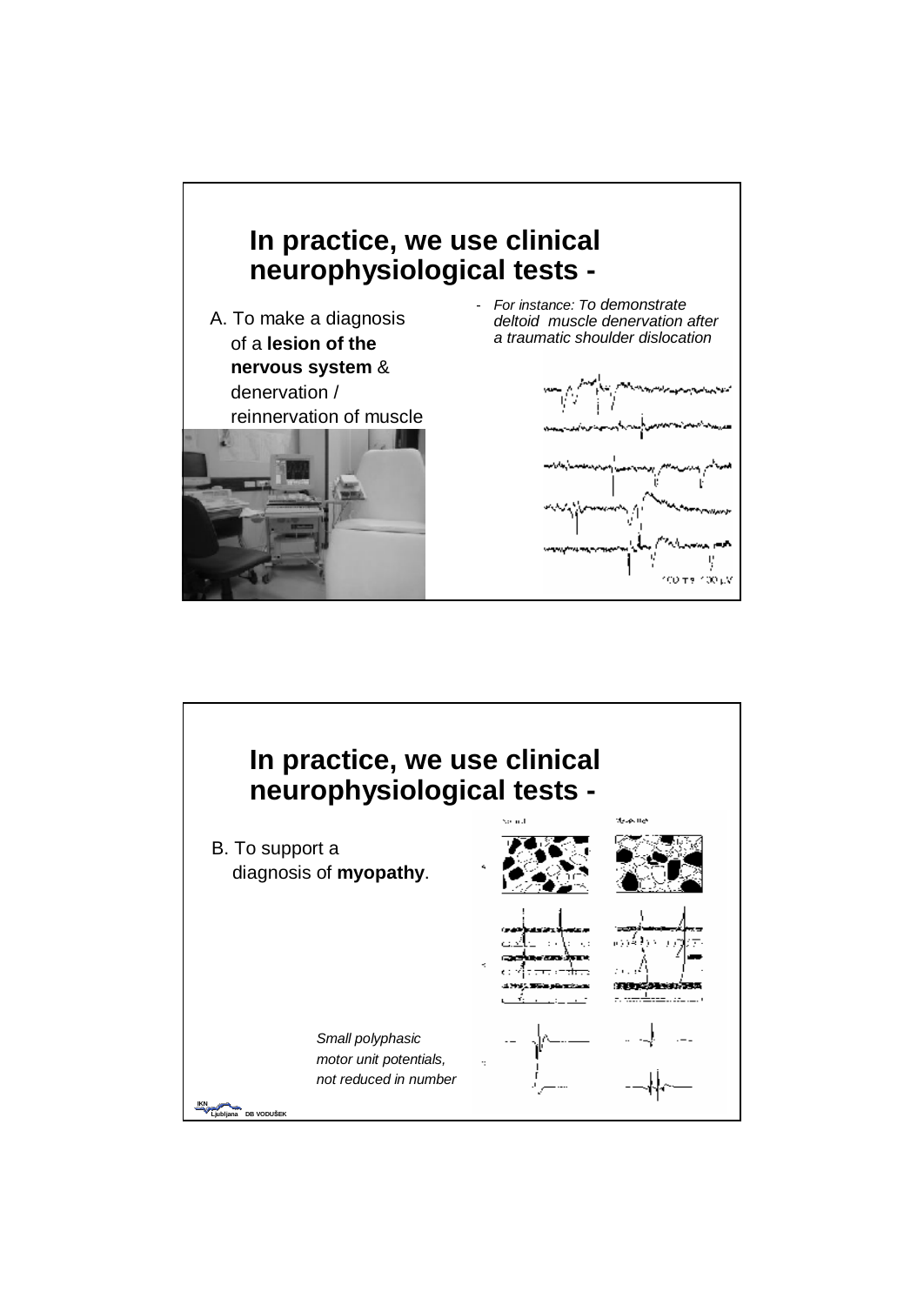

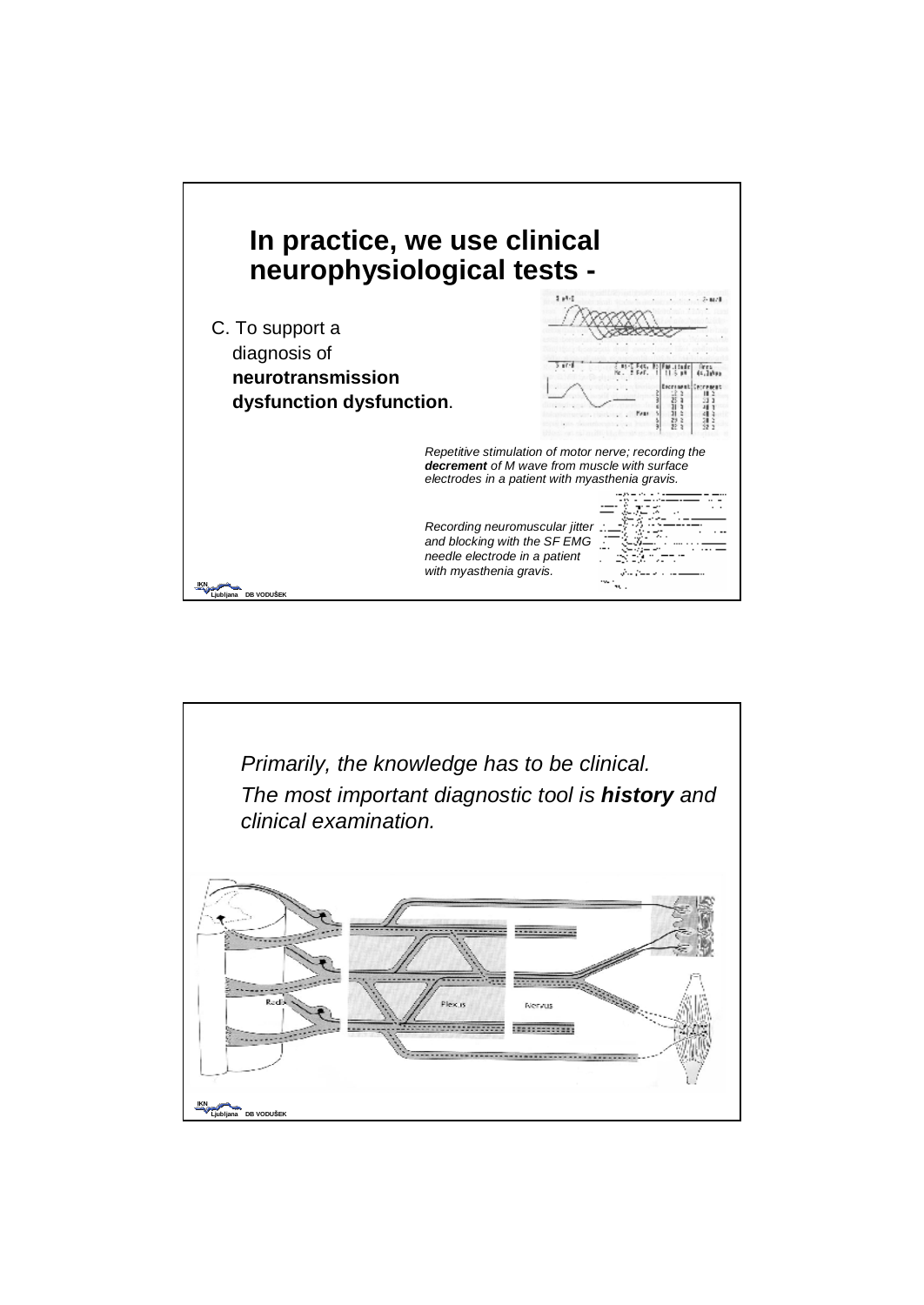

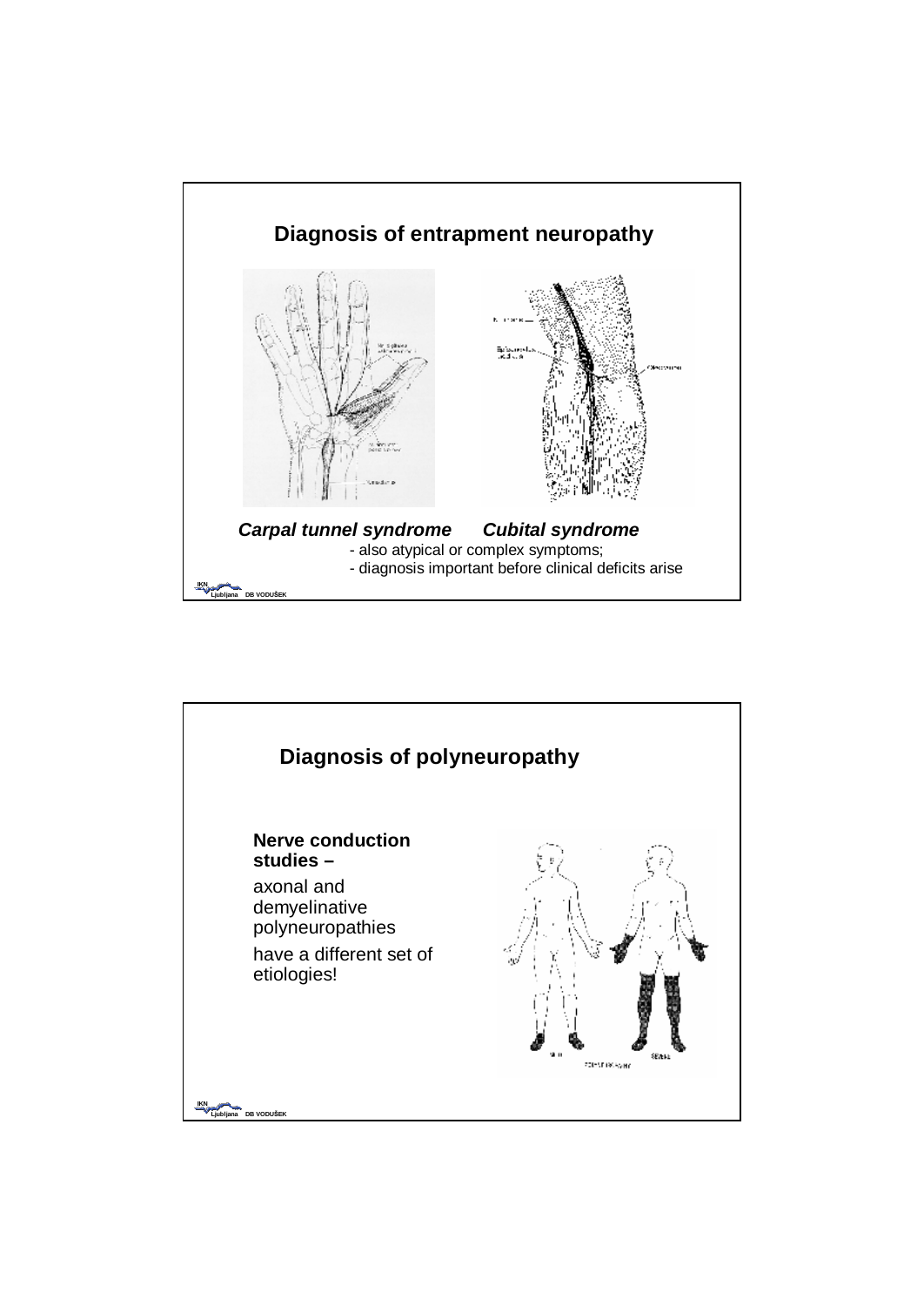

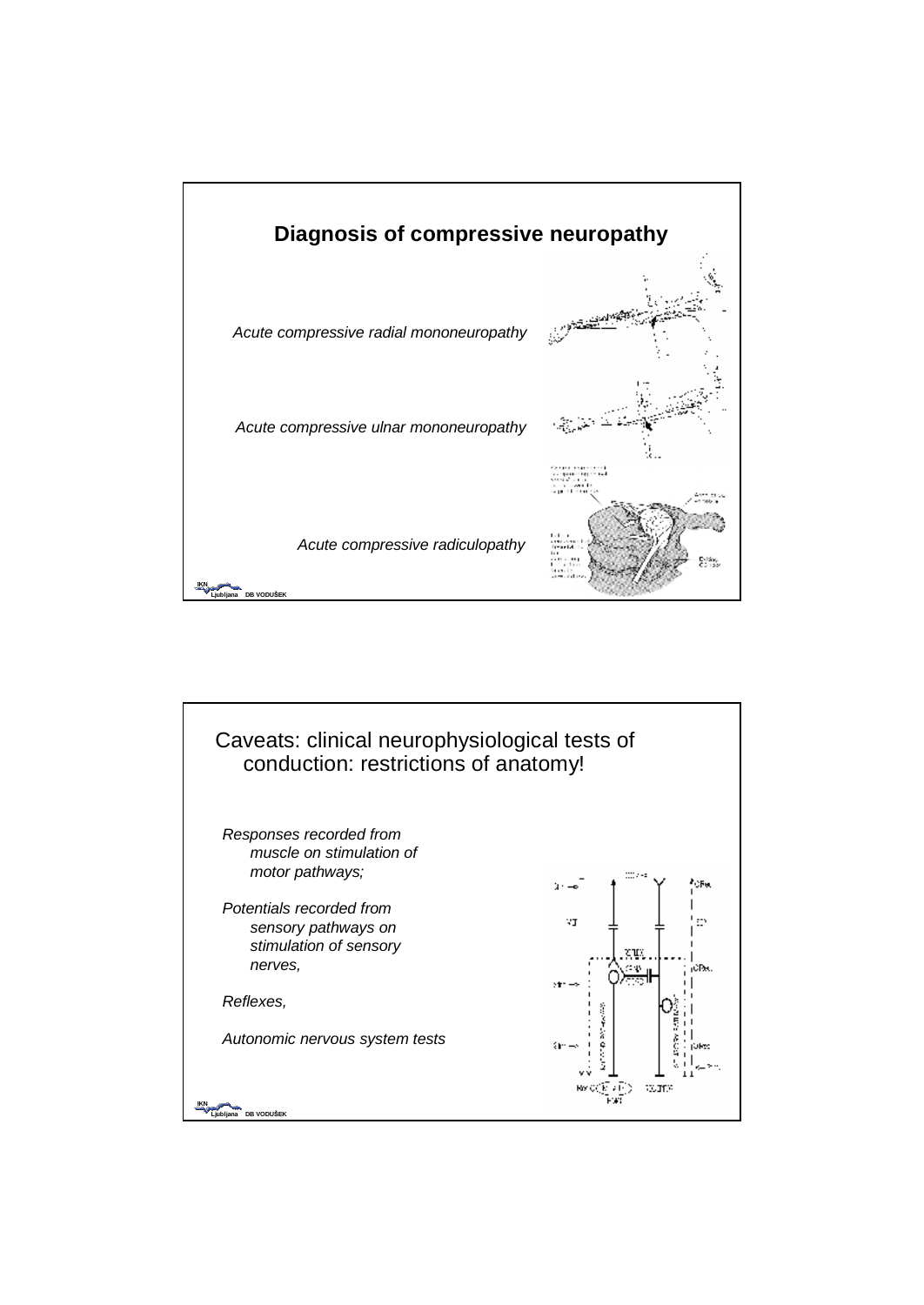

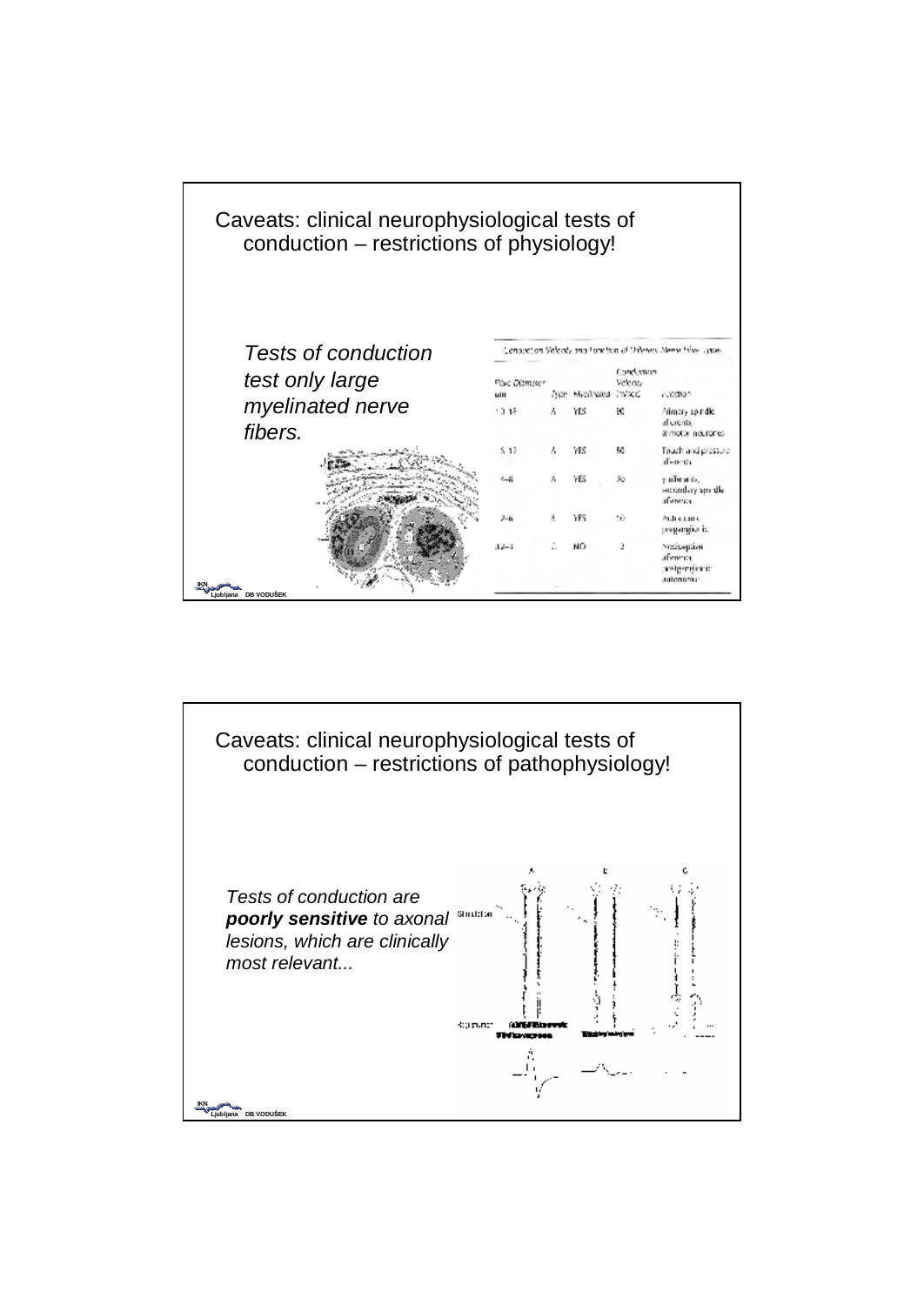| Caveats: clinical neurophysiological tests of<br>conduction - restrictions of physiology! |                                                                |   |                       |                     |                                                            |
|-------------------------------------------------------------------------------------------|----------------------------------------------------------------|---|-----------------------|---------------------|------------------------------------------------------------|
| Tests of conduction                                                                       | Consection Velocity and Function of Orleans Neme Fries, System |   |                       |                     |                                                            |
| test only large                                                                           | Flore Diamoter<br>um                                           |   | Type Myc/nated im/sed | Condumon<br>Velecta | curation.                                                  |
| myelinated nerve<br>fibers.                                                               | $-0.48$                                                        | ۸ | YES                   | 90                  | Primary spindle<br>al crents.<br>annotor nourones.         |
|                                                                                           | $5 - 12$                                                       | Λ | YES                   | 50                  | Touch and pressure<br>detects                              |
|                                                                                           | $-8$                                                           |   | YES                   | 30                  | y-adjunction.<br>secondary smille<br>afference             |
|                                                                                           | $2 - 6$                                                        | a | YES                   | 10                  | Automatic<br>pregamplior is.                               |
|                                                                                           | $12 - 3$                                                       |   | NО                    |                     | Nocioeplism<br>aferenta<br><b>melgemännic</b><br>autonomic |
| Liubliana DB VODUŠEK                                                                      |                                                                |   |                       |                     |                                                            |